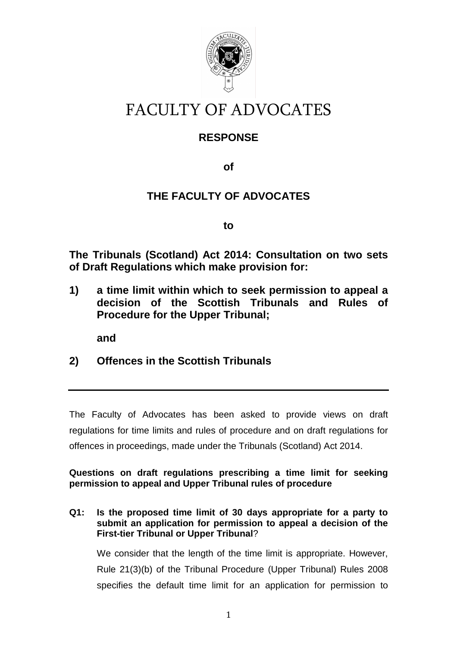

# FACULTY OF ADVOCATES

## **RESPONSE**

**of** 

# **THE FACULTY OF ADVOCATES**

**to** 

**The Tribunals (Scotland) Act 2014: Consultation on two sets of Draft Regulations which make provision for:** 

**1) a time limit within which to seek permission to appeal a decision of the Scottish Tribunals and Rules of Procedure for the Upper Tribunal;** 

**and** 

**2) Offences in the Scottish Tribunals** 

The Faculty of Advocates has been asked to provide views on draft regulations for time limits and rules of procedure and on draft regulations for offences in proceedings, made under the Tribunals (Scotland) Act 2014.

**Questions on draft regulations prescribing a time limit for seeking permission to appeal and Upper Tribunal rules of procedure** 

**Q1: Is the proposed time limit of 30 days appropriate for a party to submit an application for permission to appeal a decision of the First-tier Tribunal or Upper Tribunal**?

 We consider that the length of the time limit is appropriate. However, Rule 21(3)(b) of the Tribunal Procedure (Upper Tribunal) Rules 2008 specifies the default time limit for an application for permission to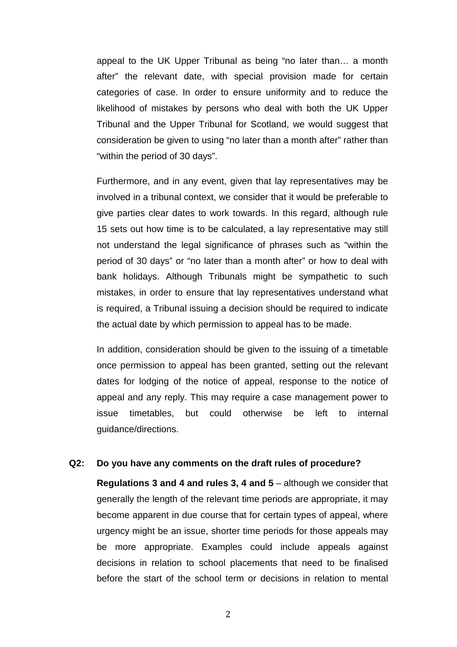appeal to the UK Upper Tribunal as being "no later than… a month after" the relevant date, with special provision made for certain categories of case. In order to ensure uniformity and to reduce the likelihood of mistakes by persons who deal with both the UK Upper Tribunal and the Upper Tribunal for Scotland, we would suggest that consideration be given to using "no later than a month after" rather than "within the period of 30 days".

Furthermore, and in any event, given that lay representatives may be involved in a tribunal context, we consider that it would be preferable to give parties clear dates to work towards. In this regard, although rule 15 sets out how time is to be calculated, a lay representative may still not understand the legal significance of phrases such as "within the period of 30 days" or "no later than a month after" or how to deal with bank holidays. Although Tribunals might be sympathetic to such mistakes, in order to ensure that lay representatives understand what is required, a Tribunal issuing a decision should be required to indicate the actual date by which permission to appeal has to be made.

In addition, consideration should be given to the issuing of a timetable once permission to appeal has been granted, setting out the relevant dates for lodging of the notice of appeal, response to the notice of appeal and any reply. This may require a case management power to issue timetables, but could otherwise be left to internal guidance/directions.

#### **Q2: Do you have any comments on the draft rules of procedure?**

**Regulations 3 and 4 and rules 3, 4 and 5** – although we consider that generally the length of the relevant time periods are appropriate, it may become apparent in due course that for certain types of appeal, where urgency might be an issue, shorter time periods for those appeals may be more appropriate. Examples could include appeals against decisions in relation to school placements that need to be finalised before the start of the school term or decisions in relation to mental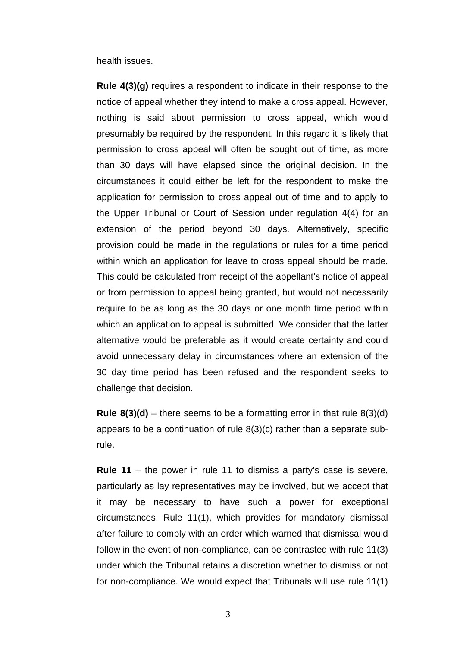health issues.

**Rule 4(3)(g)** requires a respondent to indicate in their response to the notice of appeal whether they intend to make a cross appeal. However, nothing is said about permission to cross appeal, which would presumably be required by the respondent. In this regard it is likely that permission to cross appeal will often be sought out of time, as more than 30 days will have elapsed since the original decision. In the circumstances it could either be left for the respondent to make the application for permission to cross appeal out of time and to apply to the Upper Tribunal or Court of Session under regulation 4(4) for an extension of the period beyond 30 days. Alternatively, specific provision could be made in the regulations or rules for a time period within which an application for leave to cross appeal should be made. This could be calculated from receipt of the appellant's notice of appeal or from permission to appeal being granted, but would not necessarily require to be as long as the 30 days or one month time period within which an application to appeal is submitted. We consider that the latter alternative would be preferable as it would create certainty and could avoid unnecessary delay in circumstances where an extension of the 30 day time period has been refused and the respondent seeks to challenge that decision.

**Rule 8(3)(d)** – there seems to be a formatting error in that rule  $8(3)(d)$ appears to be a continuation of rule 8(3)(c) rather than a separate subrule.

**Rule 11** – the power in rule 11 to dismiss a party's case is severe, particularly as lay representatives may be involved, but we accept that it may be necessary to have such a power for exceptional circumstances. Rule 11(1), which provides for mandatory dismissal after failure to comply with an order which warned that dismissal would follow in the event of non-compliance, can be contrasted with rule 11(3) under which the Tribunal retains a discretion whether to dismiss or not for non-compliance. We would expect that Tribunals will use rule 11(1)

3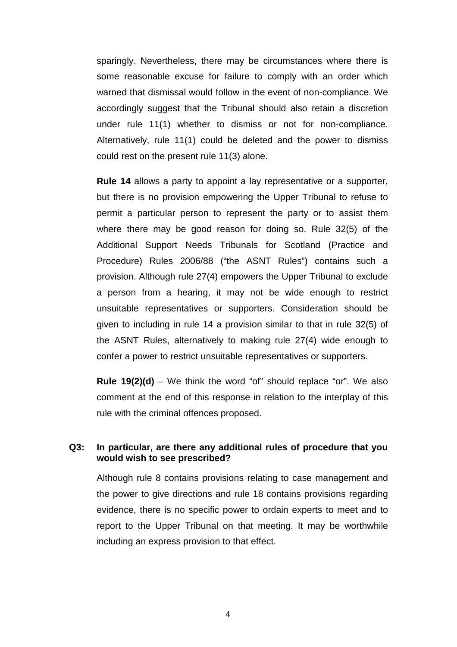sparingly. Nevertheless, there may be circumstances where there is some reasonable excuse for failure to comply with an order which warned that dismissal would follow in the event of non-compliance. We accordingly suggest that the Tribunal should also retain a discretion under rule 11(1) whether to dismiss or not for non-compliance. Alternatively, rule 11(1) could be deleted and the power to dismiss could rest on the present rule 11(3) alone.

**Rule 14** allows a party to appoint a lay representative or a supporter, but there is no provision empowering the Upper Tribunal to refuse to permit a particular person to represent the party or to assist them where there may be good reason for doing so. Rule 32(5) of the Additional Support Needs Tribunals for Scotland (Practice and Procedure) Rules 2006/88 ("the ASNT Rules") contains such a provision. Although rule 27(4) empowers the Upper Tribunal to exclude a person from a hearing, it may not be wide enough to restrict unsuitable representatives or supporters. Consideration should be given to including in rule 14 a provision similar to that in rule 32(5) of the ASNT Rules, alternatively to making rule 27(4) wide enough to confer a power to restrict unsuitable representatives or supporters.

**Rule 19(2)(d)** – We think the word "of" should replace "or". We also comment at the end of this response in relation to the interplay of this rule with the criminal offences proposed.

## **Q3: In particular, are there any additional rules of procedure that you would wish to see prescribed?**

 Although rule 8 contains provisions relating to case management and the power to give directions and rule 18 contains provisions regarding evidence, there is no specific power to ordain experts to meet and to report to the Upper Tribunal on that meeting. It may be worthwhile including an express provision to that effect.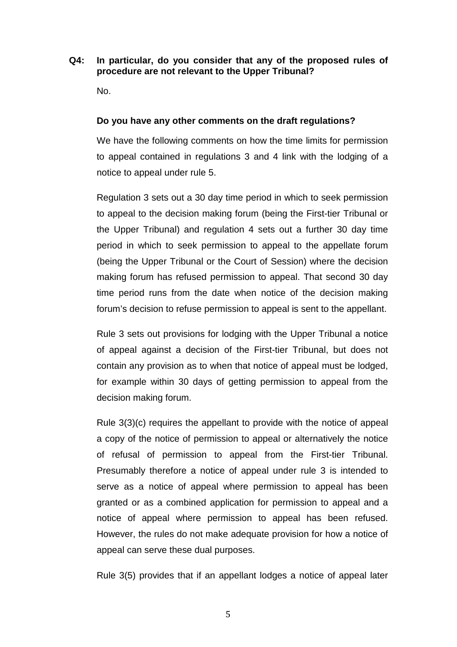## **Q4: In particular, do you consider that any of the proposed rules of procedure are not relevant to the Upper Tribunal?**

No.

### **Do you have any other comments on the draft regulations?**

We have the following comments on how the time limits for permission to appeal contained in regulations 3 and 4 link with the lodging of a notice to appeal under rule 5.

Regulation 3 sets out a 30 day time period in which to seek permission to appeal to the decision making forum (being the First-tier Tribunal or the Upper Tribunal) and regulation 4 sets out a further 30 day time period in which to seek permission to appeal to the appellate forum (being the Upper Tribunal or the Court of Session) where the decision making forum has refused permission to appeal. That second 30 day time period runs from the date when notice of the decision making forum's decision to refuse permission to appeal is sent to the appellant.

Rule 3 sets out provisions for lodging with the Upper Tribunal a notice of appeal against a decision of the First-tier Tribunal, but does not contain any provision as to when that notice of appeal must be lodged, for example within 30 days of getting permission to appeal from the decision making forum.

Rule 3(3)(c) requires the appellant to provide with the notice of appeal a copy of the notice of permission to appeal or alternatively the notice of refusal of permission to appeal from the First-tier Tribunal. Presumably therefore a notice of appeal under rule 3 is intended to serve as a notice of appeal where permission to appeal has been granted or as a combined application for permission to appeal and a notice of appeal where permission to appeal has been refused. However, the rules do not make adequate provision for how a notice of appeal can serve these dual purposes.

Rule 3(5) provides that if an appellant lodges a notice of appeal later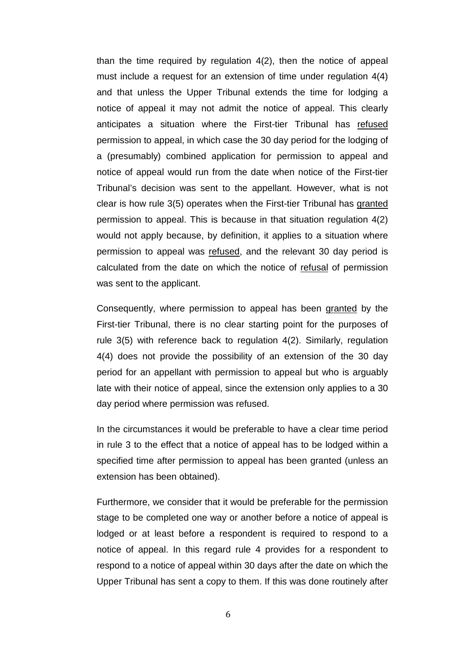than the time required by regulation 4(2), then the notice of appeal must include a request for an extension of time under regulation 4(4) and that unless the Upper Tribunal extends the time for lodging a notice of appeal it may not admit the notice of appeal. This clearly anticipates a situation where the First-tier Tribunal has refused permission to appeal, in which case the 30 day period for the lodging of a (presumably) combined application for permission to appeal and notice of appeal would run from the date when notice of the First-tier Tribunal's decision was sent to the appellant. However, what is not clear is how rule 3(5) operates when the First-tier Tribunal has granted permission to appeal. This is because in that situation regulation 4(2) would not apply because, by definition, it applies to a situation where permission to appeal was refused, and the relevant 30 day period is calculated from the date on which the notice of refusal of permission was sent to the applicant.

Consequently, where permission to appeal has been granted by the First-tier Tribunal, there is no clear starting point for the purposes of rule 3(5) with reference back to regulation 4(2). Similarly, regulation 4(4) does not provide the possibility of an extension of the 30 day period for an appellant with permission to appeal but who is arguably late with their notice of appeal, since the extension only applies to a 30 day period where permission was refused.

In the circumstances it would be preferable to have a clear time period in rule 3 to the effect that a notice of appeal has to be lodged within a specified time after permission to appeal has been granted (unless an extension has been obtained).

Furthermore, we consider that it would be preferable for the permission stage to be completed one way or another before a notice of appeal is lodged or at least before a respondent is required to respond to a notice of appeal. In this regard rule 4 provides for a respondent to respond to a notice of appeal within 30 days after the date on which the Upper Tribunal has sent a copy to them. If this was done routinely after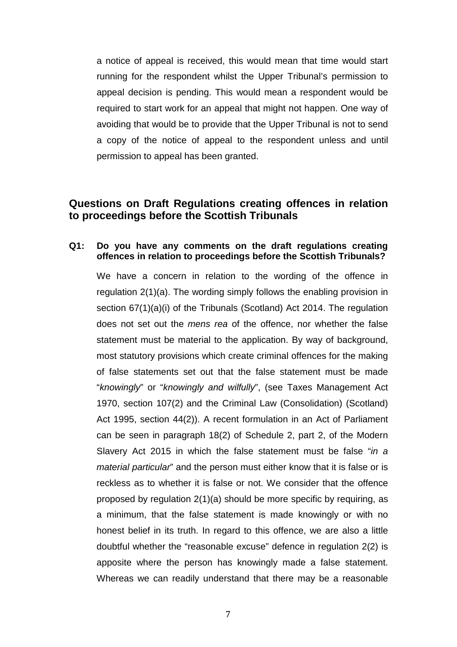a notice of appeal is received, this would mean that time would start running for the respondent whilst the Upper Tribunal's permission to appeal decision is pending. This would mean a respondent would be required to start work for an appeal that might not happen. One way of avoiding that would be to provide that the Upper Tribunal is not to send a copy of the notice of appeal to the respondent unless and until permission to appeal has been granted.

## **Questions on Draft Regulations creating offences in relation to proceedings before the Scottish Tribunals**

## **Q1: Do you have any comments on the draft regulations creating offences in relation to proceedings before the Scottish Tribunals?**

 We have a concern in relation to the wording of the offence in regulation 2(1)(a). The wording simply follows the enabling provision in section 67(1)(a)(i) of the Tribunals (Scotland) Act 2014. The regulation does not set out the mens rea of the offence, nor whether the false statement must be material to the application. By way of background, most statutory provisions which create criminal offences for the making of false statements set out that the false statement must be made "knowingly" or "knowingly and wilfully", (see Taxes Management Act 1970, section 107(2) and the Criminal Law (Consolidation) (Scotland) Act 1995, section 44(2)). A recent formulation in an Act of Parliament can be seen in paragraph 18(2) of Schedule 2, part 2, of the Modern Slavery Act 2015 in which the false statement must be false "in a material particular" and the person must either know that it is false or is reckless as to whether it is false or not. We consider that the offence proposed by regulation 2(1)(a) should be more specific by requiring, as a minimum, that the false statement is made knowingly or with no honest belief in its truth. In regard to this offence, we are also a little doubtful whether the "reasonable excuse" defence in regulation 2(2) is apposite where the person has knowingly made a false statement. Whereas we can readily understand that there may be a reasonable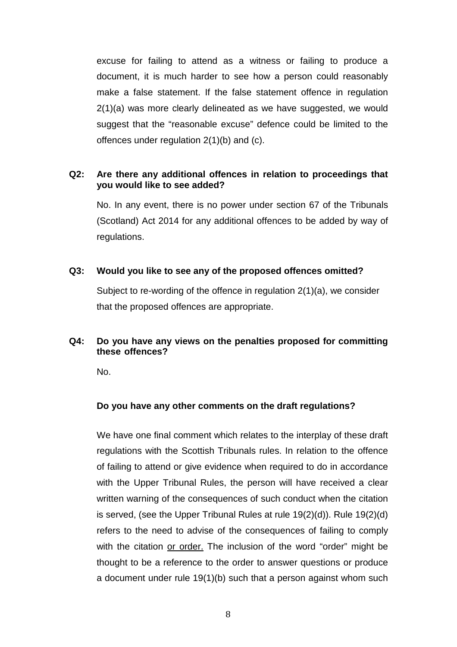excuse for failing to attend as a witness or failing to produce a document, it is much harder to see how a person could reasonably make a false statement. If the false statement offence in regulation 2(1)(a) was more clearly delineated as we have suggested, we would suggest that the "reasonable excuse" defence could be limited to the offences under regulation 2(1)(b) and (c).

## **Q2: Are there any additional offences in relation to proceedings that you would like to see added?**

 No. In any event, there is no power under section 67 of the Tribunals (Scotland) Act 2014 for any additional offences to be added by way of regulations.

## **Q3: Would you like to see any of the proposed offences omitted?**

 Subject to re-wording of the offence in regulation 2(1)(a), we consider that the proposed offences are appropriate.

## **Q4: Do you have any views on the penalties proposed for committing these offences?**

No.

## **Do you have any other comments on the draft regulations?**

We have one final comment which relates to the interplay of these draft regulations with the Scottish Tribunals rules. In relation to the offence of failing to attend or give evidence when required to do in accordance with the Upper Tribunal Rules, the person will have received a clear written warning of the consequences of such conduct when the citation is served, (see the Upper Tribunal Rules at rule 19(2)(d)). Rule 19(2)(d) refers to the need to advise of the consequences of failing to comply with the citation or order. The inclusion of the word "order" might be thought to be a reference to the order to answer questions or produce a document under rule 19(1)(b) such that a person against whom such